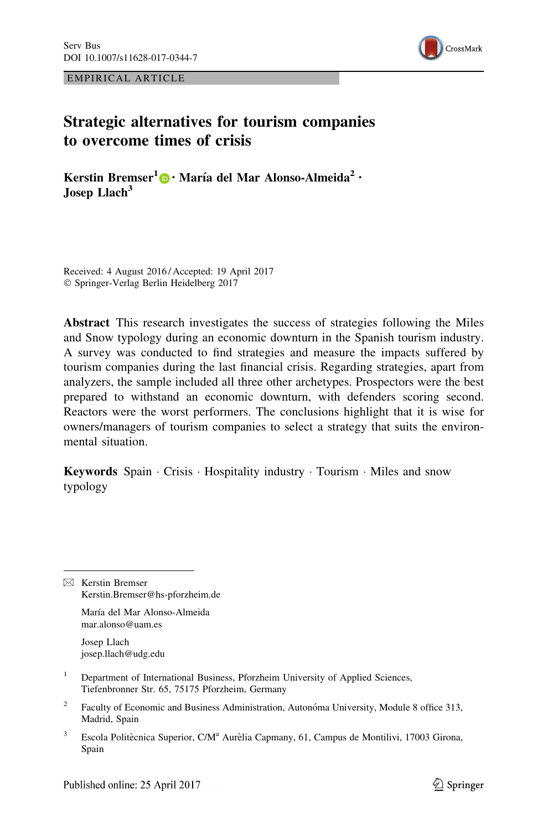EMPIRICAL ARTICLE



# Strategic alternatives for tourism companies to overcome times of crisis

Kerstin Bremser<sup>1</sup> $\bigcirc$  María del Mar Alonso-Almeida<sup>2</sup> · Josep Llach $3$ 

Received: 4 August 2016 / Accepted: 19 April 2017 - Springer-Verlag Berlin Heidelberg 2017

Abstract This research investigates the success of strategies following the Miles and Snow typology during an economic downturn in the Spanish tourism industry. A survey was conducted to find strategies and measure the impacts suffered by tourism companies during the last financial crisis. Regarding strategies, apart from analyzers, the sample included all three other archetypes. Prospectors were the best prepared to withstand an economic downturn, with defenders scoring second. Reactors were the worst performers. The conclusions highlight that it is wise for owners/managers of tourism companies to select a strategy that suits the environmental situation.

Keywords Spain · Crisis · Hospitality industry · Tourism · Miles and snow typology

 $\boxtimes$  Kerstin Bremser Kerstin.Bremser@hs-pforzheim.de

> María del Mar Alonso-Almeida mar.alonso@uam.es

Josep Llach josep.llach@udg.edu

- <sup>1</sup> Department of International Business, Pforzheim University of Applied Sciences, Tiefenbronner Str. 65, 75175 Pforzheim, Germany
- <sup>2</sup> Faculty of Economic and Business Administration, Autonoma University, Module 8 office 313, Madrid, Spain
- $3$  Escola Politècnica Superior, C/M<sup>a</sup> Aurèlia Capmany, 61, Campus de Montilivi, 17003 Girona, Spain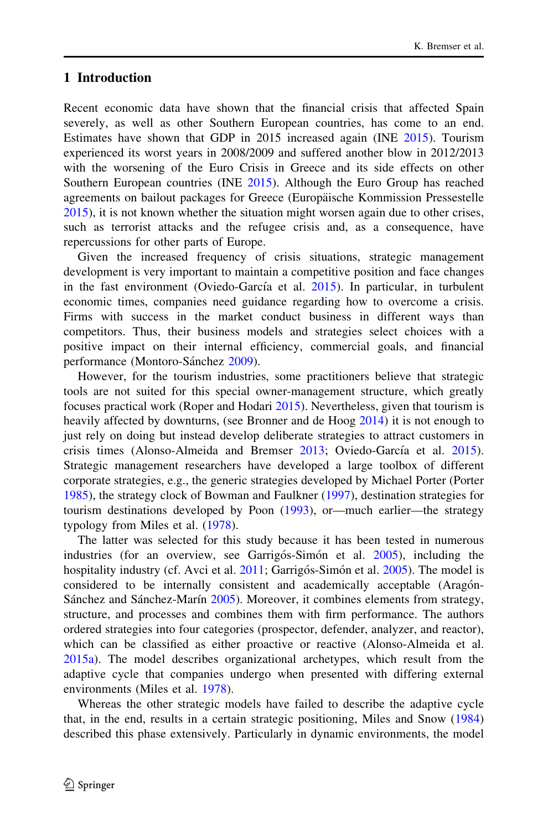### 1 Introduction

Recent economic data have shown that the financial crisis that affected Spain severely, as well as other Southern European countries, has come to an end. Estimates have shown that GDP in 2015 increased again (INE [2015\)](#page-21-0). Tourism experienced its worst years in 2008/2009 and suffered another blow in 2012/2013 with the worsening of the Euro Crisis in Greece and its side effects on other Southern European countries (INE [2015](#page-21-0)). Although the Euro Group has reached agreements on bailout packages for Greece (Europäische Kommission Pressestelle [2015\)](#page-21-0), it is not known whether the situation might worsen again due to other crises, such as terrorist attacks and the refugee crisis and, as a consequence, have repercussions for other parts of Europe.

Given the increased frequency of crisis situations, strategic management development is very important to maintain a competitive position and face changes in the fast environment (Oviedo-García et al. [2015\)](#page-21-0). In particular, in turbulent economic times, companies need guidance regarding how to overcome a crisis. Firms with success in the market conduct business in different ways than competitors. Thus, their business models and strategies select choices with a positive impact on their internal efficiency, commercial goals, and financial performance (Montoro-Sánchez [2009](#page-21-0)).

However, for the tourism industries, some practitioners believe that strategic tools are not suited for this special owner-management structure, which greatly focuses practical work (Roper and Hodari [2015](#page-22-0)). Nevertheless, given that tourism is heavily affected by downturns, (see Bronner and de Hoog [2014](#page-20-0)) it is not enough to just rely on doing but instead develop deliberate strategies to attract customers in crisis times (Alonso-Almeida and Bremser [2013;](#page-20-0) Oviedo-García et al.  $2015$ ). Strategic management researchers have developed a large toolbox of different corporate strategies, e.g., the generic strategies developed by Michael Porter (Porter [1985\)](#page-21-0), the strategy clock of Bowman and Faulkner [\(1997](#page-20-0)), destination strategies for tourism destinations developed by Poon [\(1993](#page-21-0)), or—much earlier—the strategy typology from Miles et al. ([1978\)](#page-21-0).

The latter was selected for this study because it has been tested in numerous industries (for an overview, see Garrigo's-Simon et al. [2005\)](#page-21-0), including the hospitality industry (cf. Avci et al. [2011](#page-20-0); Garrigós-Simón et al. [2005](#page-21-0)). The model is considered to be internally consistent and academically acceptable (Aragón-Sánchez and Sánchez-Marín [2005](#page-20-0)). Moreover, it combines elements from strategy, structure, and processes and combines them with firm performance. The authors ordered strategies into four categories (prospector, defender, analyzer, and reactor), which can be classified as either proactive or reactive (Alonso-Almeida et al. [2015a](#page-20-0)). The model describes organizational archetypes, which result from the adaptive cycle that companies undergo when presented with differing external environments (Miles et al. [1978\)](#page-21-0).

Whereas the other strategic models have failed to describe the adaptive cycle that, in the end, results in a certain strategic positioning, Miles and Snow [\(1984](#page-21-0)) described this phase extensively. Particularly in dynamic environments, the model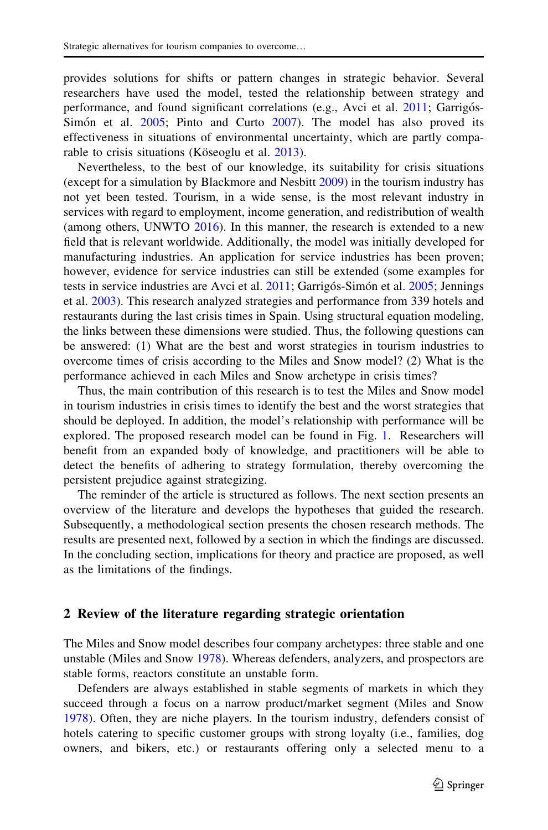provides solutions for shifts or pattern changes in strategic behavior. Several researchers have used the model, tested the relationship between strategy and performance, and found significant correlations (e.g., Avci et al. [2011](#page-20-0); Garrigós-Simón et al.  $2005$ ; Pinto and Curto  $2007$ ). The model has also proved its effectiveness in situations of environmental uncertainty, which are partly compa-rable to crisis situations (Köseoglu et al. [2013](#page-21-0)).

Nevertheless, to the best of our knowledge, its suitability for crisis situations (except for a simulation by Blackmore and Nesbitt [2009\)](#page-20-0) in the tourism industry has not yet been tested. Tourism, in a wide sense, is the most relevant industry in services with regard to employment, income generation, and redistribution of wealth (among others, UNWTO [2016\)](#page-22-0). In this manner, the research is extended to a new field that is relevant worldwide. Additionally, the model was initially developed for manufacturing industries. An application for service industries has been proven; however, evidence for service industries can still be extended (some examples for tests in service industries are Avci et al. [2011](#page-20-0); Garrigós-Simón et al. [2005;](#page-21-0) Jennings et al. [2003](#page-21-0)). This research analyzed strategies and performance from 339 hotels and restaurants during the last crisis times in Spain. Using structural equation modeling, the links between these dimensions were studied. Thus, the following questions can be answered: (1) What are the best and worst strategies in tourism industries to overcome times of crisis according to the Miles and Snow model? (2) What is the performance achieved in each Miles and Snow archetype in crisis times?

Thus, the main contribution of this research is to test the Miles and Snow model in tourism industries in crisis times to identify the best and the worst strategies that should be deployed. In addition, the model's relationship with performance will be explored. The proposed research model can be found in Fig. [1](#page-3-0). Researchers will benefit from an expanded body of knowledge, and practitioners will be able to detect the benefits of adhering to strategy formulation, thereby overcoming the persistent prejudice against strategizing.

The reminder of the article is structured as follows. The next section presents an overview of the literature and develops the hypotheses that guided the research. Subsequently, a methodological section presents the chosen research methods. The results are presented next, followed by a section in which the findings are discussed. In the concluding section, implications for theory and practice are proposed, as well as the limitations of the findings.

### 2 Review of the literature regarding strategic orientation

The Miles and Snow model describes four company archetypes: three stable and one unstable (Miles and Snow [1978\)](#page-21-0). Whereas defenders, analyzers, and prospectors are stable forms, reactors constitute an unstable form.

Defenders are always established in stable segments of markets in which they succeed through a focus on a narrow product/market segment (Miles and Snow [1978\)](#page-21-0). Often, they are niche players. In the tourism industry, defenders consist of hotels catering to specific customer groups with strong loyalty (i.e., families, dog owners, and bikers, etc.) or restaurants offering only a selected menu to a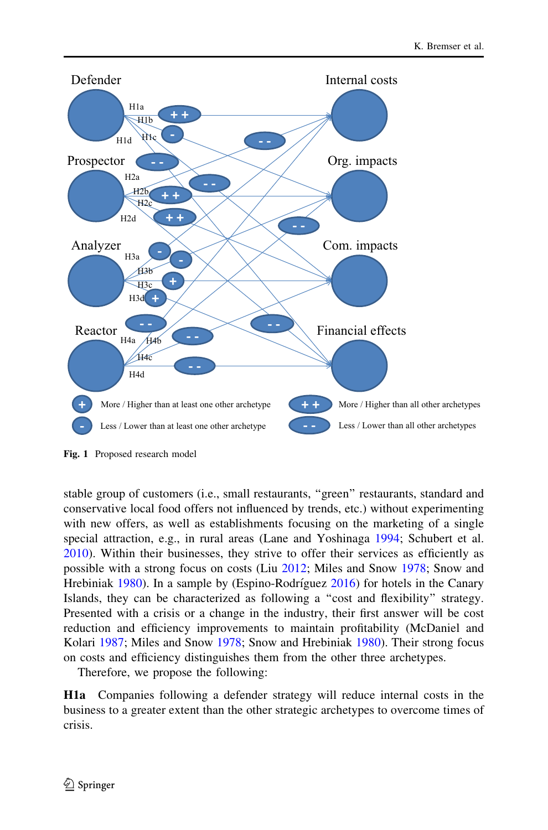<span id="page-3-0"></span>

Fig. 1 Proposed research model

stable group of customers (i.e., small restaurants, ''green'' restaurants, standard and conservative local food offers not influenced by trends, etc.) without experimenting with new offers, as well as establishments focusing on the marketing of a single special attraction, e.g., in rural areas (Lane and Yoshinaga [1994;](#page-21-0) Schubert et al. [2010\)](#page-22-0). Within their businesses, they strive to offer their services as efficiently as possible with a strong focus on costs (Liu [2012](#page-21-0); Miles and Snow [1978;](#page-21-0) Snow and Hrebiniak [1980](#page-22-0)). In a sample by (Espino-Rodríguez [2016](#page-20-0)) for hotels in the Canary Islands, they can be characterized as following a ''cost and flexibility'' strategy. Presented with a crisis or a change in the industry, their first answer will be cost reduction and efficiency improvements to maintain profitability (McDaniel and Kolari [1987](#page-21-0); Miles and Snow [1978;](#page-21-0) Snow and Hrebiniak [1980](#page-22-0)). Their strong focus on costs and efficiency distinguishes them from the other three archetypes.

Therefore, we propose the following:

H1a Companies following a defender strategy will reduce internal costs in the business to a greater extent than the other strategic archetypes to overcome times of crisis.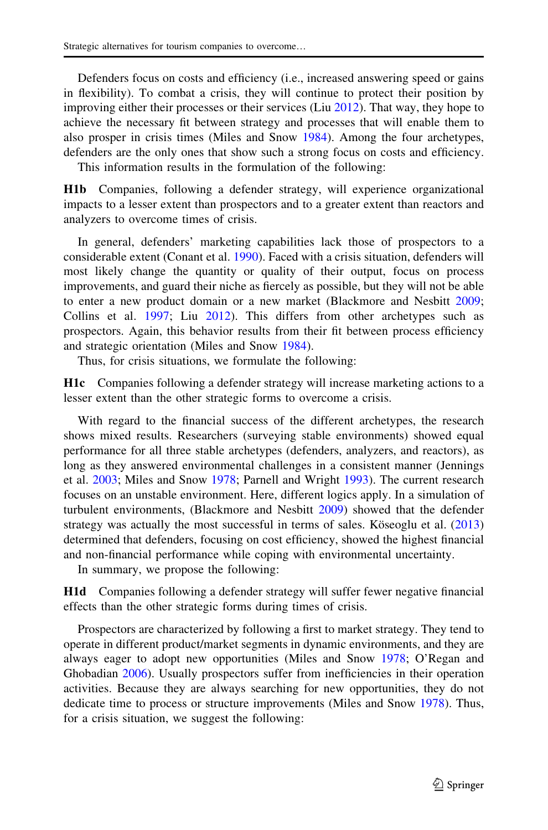Defenders focus on costs and efficiency (i.e., increased answering speed or gains in flexibility). To combat a crisis, they will continue to protect their position by improving either their processes or their services (Liu [2012](#page-21-0)). That way, they hope to achieve the necessary fit between strategy and processes that will enable them to also prosper in crisis times (Miles and Snow [1984\)](#page-21-0). Among the four archetypes, defenders are the only ones that show such a strong focus on costs and efficiency. This information results in the formulation of the following:

H1b Companies, following a defender strategy, will experience organizational impacts to a lesser extent than prospectors and to a greater extent than reactors and analyzers to overcome times of crisis.

In general, defenders' marketing capabilities lack those of prospectors to a considerable extent (Conant et al. [1990](#page-20-0)). Faced with a crisis situation, defenders will most likely change the quantity or quality of their output, focus on process improvements, and guard their niche as fiercely as possible, but they will not be able to enter a new product domain or a new market (Blackmore and Nesbitt [2009;](#page-20-0) Collins et al. [1997;](#page-20-0) Liu [2012](#page-21-0)). This differs from other archetypes such as prospectors. Again, this behavior results from their fit between process efficiency and strategic orientation (Miles and Snow [1984](#page-21-0)).

Thus, for crisis situations, we formulate the following:

H1c Companies following a defender strategy will increase marketing actions to a lesser extent than the other strategic forms to overcome a crisis.

With regard to the financial success of the different archetypes, the research shows mixed results. Researchers (surveying stable environments) showed equal performance for all three stable archetypes (defenders, analyzers, and reactors), as long as they answered environmental challenges in a consistent manner (Jennings et al. [2003](#page-21-0); Miles and Snow [1978](#page-21-0); Parnell and Wright [1993\)](#page-21-0). The current research focuses on an unstable environment. Here, different logics apply. In a simulation of turbulent environments, (Blackmore and Nesbitt [2009\)](#page-20-0) showed that the defender strategy was actually the most successful in terms of sales. Köseoglu et al.  $(2013)$  $(2013)$ determined that defenders, focusing on cost efficiency, showed the highest financial and non-financial performance while coping with environmental uncertainty.

In summary, we propose the following:

H1d Companies following a defender strategy will suffer fewer negative financial effects than the other strategic forms during times of crisis.

Prospectors are characterized by following a first to market strategy. They tend to operate in different product/market segments in dynamic environments, and they are always eager to adopt new opportunities (Miles and Snow [1978;](#page-21-0) O'Regan and Ghobadian [2006](#page-21-0)). Usually prospectors suffer from inefficiencies in their operation activities. Because they are always searching for new opportunities, they do not dedicate time to process or structure improvements (Miles and Snow [1978\)](#page-21-0). Thus, for a crisis situation, we suggest the following: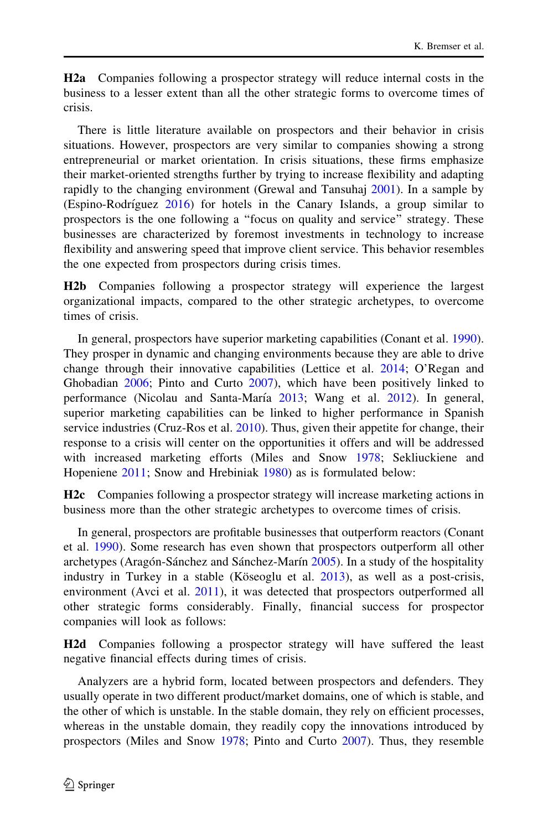H2a Companies following a prospector strategy will reduce internal costs in the business to a lesser extent than all the other strategic forms to overcome times of crisis.

There is little literature available on prospectors and their behavior in crisis situations. However, prospectors are very similar to companies showing a strong entrepreneurial or market orientation. In crisis situations, these firms emphasize their market-oriented strengths further by trying to increase flexibility and adapting rapidly to the changing environment (Grewal and Tansuhaj [2001\)](#page-21-0). In a sample by (Espino-Rodríguez [2016\)](#page-20-0) for hotels in the Canary Islands, a group similar to prospectors is the one following a ''focus on quality and service'' strategy. These businesses are characterized by foremost investments in technology to increase flexibility and answering speed that improve client service. This behavior resembles the one expected from prospectors during crisis times.

H2b Companies following a prospector strategy will experience the largest organizational impacts, compared to the other strategic archetypes, to overcome times of crisis.

In general, prospectors have superior marketing capabilities (Conant et al. [1990\)](#page-20-0). They prosper in dynamic and changing environments because they are able to drive change through their innovative capabilities (Lettice et al. [2014](#page-21-0); O'Regan and Ghobadian [2006;](#page-21-0) Pinto and Curto [2007\)](#page-21-0), which have been positively linked to performance (Nicolau and Santa-María [2013;](#page-21-0) Wang et al. [2012\)](#page-22-0). In general, superior marketing capabilities can be linked to higher performance in Spanish service industries (Cruz-Ros et al. [2010](#page-20-0)). Thus, given their appetite for change, their response to a crisis will center on the opportunities it offers and will be addressed with increased marketing efforts (Miles and Snow [1978](#page-21-0); Sekliuckiene and Hopeniene [2011;](#page-22-0) Snow and Hrebiniak [1980\)](#page-22-0) as is formulated below:

H2c Companies following a prospector strategy will increase marketing actions in business more than the other strategic archetypes to overcome times of crisis.

In general, prospectors are profitable businesses that outperform reactors (Conant et al. [1990](#page-20-0)). Some research has even shown that prospectors outperform all other archetypes (Aragón-Sánchez and Sánchez-Marín [2005\)](#page-20-0). In a study of the hospitality industry in Turkey in a stable (Köseoglu et al.  $2013$ ), as well as a post-crisis, environment (Avci et al. [2011](#page-20-0)), it was detected that prospectors outperformed all other strategic forms considerably. Finally, financial success for prospector companies will look as follows:

H2d Companies following a prospector strategy will have suffered the least negative financial effects during times of crisis.

Analyzers are a hybrid form, located between prospectors and defenders. They usually operate in two different product/market domains, one of which is stable, and the other of which is unstable. In the stable domain, they rely on efficient processes, whereas in the unstable domain, they readily copy the innovations introduced by prospectors (Miles and Snow [1978;](#page-21-0) Pinto and Curto [2007](#page-21-0)). Thus, they resemble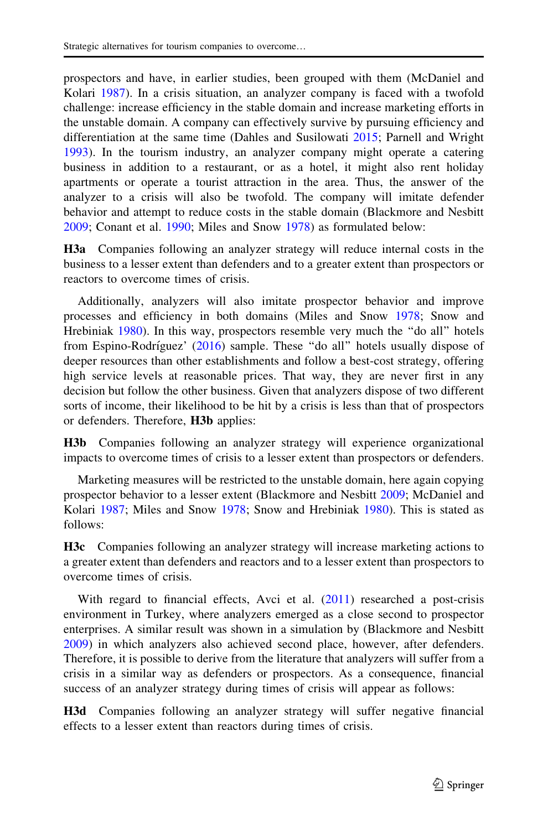prospectors and have, in earlier studies, been grouped with them (McDaniel and Kolari [1987\)](#page-21-0). In a crisis situation, an analyzer company is faced with a twofold challenge: increase efficiency in the stable domain and increase marketing efforts in the unstable domain. A company can effectively survive by pursuing efficiency and differentiation at the same time (Dahles and Susilowati [2015](#page-20-0); Parnell and Wright [1993\)](#page-21-0). In the tourism industry, an analyzer company might operate a catering business in addition to a restaurant, or as a hotel, it might also rent holiday apartments or operate a tourist attraction in the area. Thus, the answer of the analyzer to a crisis will also be twofold. The company will imitate defender behavior and attempt to reduce costs in the stable domain (Blackmore and Nesbitt [2009;](#page-20-0) Conant et al. [1990](#page-20-0); Miles and Snow [1978\)](#page-21-0) as formulated below:

H3a Companies following an analyzer strategy will reduce internal costs in the business to a lesser extent than defenders and to a greater extent than prospectors or reactors to overcome times of crisis.

Additionally, analyzers will also imitate prospector behavior and improve processes and efficiency in both domains (Miles and Snow [1978](#page-21-0); Snow and Hrebiniak [1980](#page-22-0)). In this way, prospectors resemble very much the "do all" hotels from Espino-Rodríguez'  $(2016)$  $(2016)$  sample. These "do all" hotels usually dispose of deeper resources than other establishments and follow a best-cost strategy, offering high service levels at reasonable prices. That way, they are never first in any decision but follow the other business. Given that analyzers dispose of two different sorts of income, their likelihood to be hit by a crisis is less than that of prospectors or defenders. Therefore, H3b applies:

H3b Companies following an analyzer strategy will experience organizational impacts to overcome times of crisis to a lesser extent than prospectors or defenders.

Marketing measures will be restricted to the unstable domain, here again copying prospector behavior to a lesser extent (Blackmore and Nesbitt [2009](#page-20-0); McDaniel and Kolari [1987](#page-21-0); Miles and Snow [1978](#page-21-0); Snow and Hrebiniak [1980\)](#page-22-0). This is stated as follows:

H3c Companies following an analyzer strategy will increase marketing actions to a greater extent than defenders and reactors and to a lesser extent than prospectors to overcome times of crisis.

With regard to financial effects, Avci et al.  $(2011)$  $(2011)$  researched a post-crisis environment in Turkey, where analyzers emerged as a close second to prospector enterprises. A similar result was shown in a simulation by (Blackmore and Nesbitt [2009\)](#page-20-0) in which analyzers also achieved second place, however, after defenders. Therefore, it is possible to derive from the literature that analyzers will suffer from a crisis in a similar way as defenders or prospectors. As a consequence, financial success of an analyzer strategy during times of crisis will appear as follows:

H3d Companies following an analyzer strategy will suffer negative financial effects to a lesser extent than reactors during times of crisis.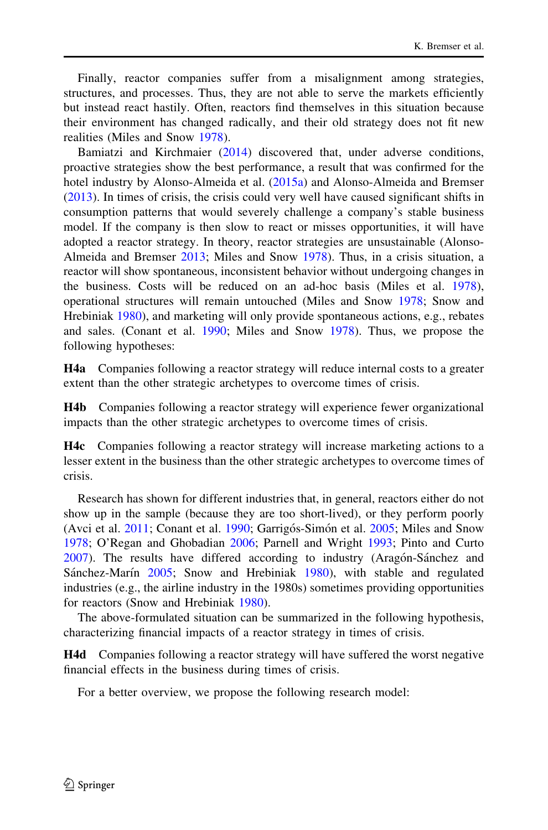Finally, reactor companies suffer from a misalignment among strategies, structures, and processes. Thus, they are not able to serve the markets efficiently but instead react hastily. Often, reactors find themselves in this situation because their environment has changed radically, and their old strategy does not fit new realities (Miles and Snow [1978](#page-21-0)).

Bamiatzi and Kirchmaier ([2014\)](#page-20-0) discovered that, under adverse conditions, proactive strategies show the best performance, a result that was confirmed for the hotel industry by Alonso-Almeida et al. [\(2015a](#page-20-0)) and Alonso-Almeida and Bremser [\(2013](#page-20-0)). In times of crisis, the crisis could very well have caused significant shifts in consumption patterns that would severely challenge a company's stable business model. If the company is then slow to react or misses opportunities, it will have adopted a reactor strategy. In theory, reactor strategies are unsustainable (Alonso-Almeida and Bremser [2013](#page-20-0); Miles and Snow [1978\)](#page-21-0). Thus, in a crisis situation, a reactor will show spontaneous, inconsistent behavior without undergoing changes in the business. Costs will be reduced on an ad-hoc basis (Miles et al. [1978\)](#page-21-0), operational structures will remain untouched (Miles and Snow [1978](#page-21-0); Snow and Hrebiniak [1980\)](#page-22-0), and marketing will only provide spontaneous actions, e.g., rebates and sales. (Conant et al. [1990;](#page-20-0) Miles and Snow [1978](#page-21-0)). Thus, we propose the following hypotheses:

H4a Companies following a reactor strategy will reduce internal costs to a greater extent than the other strategic archetypes to overcome times of crisis.

H4b Companies following a reactor strategy will experience fewer organizational impacts than the other strategic archetypes to overcome times of crisis.

H4c Companies following a reactor strategy will increase marketing actions to a lesser extent in the business than the other strategic archetypes to overcome times of crisis.

Research has shown for different industries that, in general, reactors either do not show up in the sample (because they are too short-lived), or they perform poorly (Avci et al. [2011;](#page-20-0) Conant et al. [1990;](#page-20-0) Garrigós-Simón et al. [2005;](#page-21-0) Miles and Snow [1978;](#page-21-0) O'Regan and Ghobadian [2006;](#page-21-0) Parnell and Wright [1993;](#page-21-0) Pinto and Curto [2007\)](#page-21-0). The results have differed according to industry (Aragón-Sánchez and Sánchez-Marín [2005;](#page-20-0) Snow and Hrebiniak [1980](#page-22-0)), with stable and regulated industries (e.g., the airline industry in the 1980s) sometimes providing opportunities for reactors (Snow and Hrebiniak [1980](#page-22-0)).

The above-formulated situation can be summarized in the following hypothesis, characterizing financial impacts of a reactor strategy in times of crisis.

H4d Companies following a reactor strategy will have suffered the worst negative financial effects in the business during times of crisis.

For a better overview, we propose the following research model: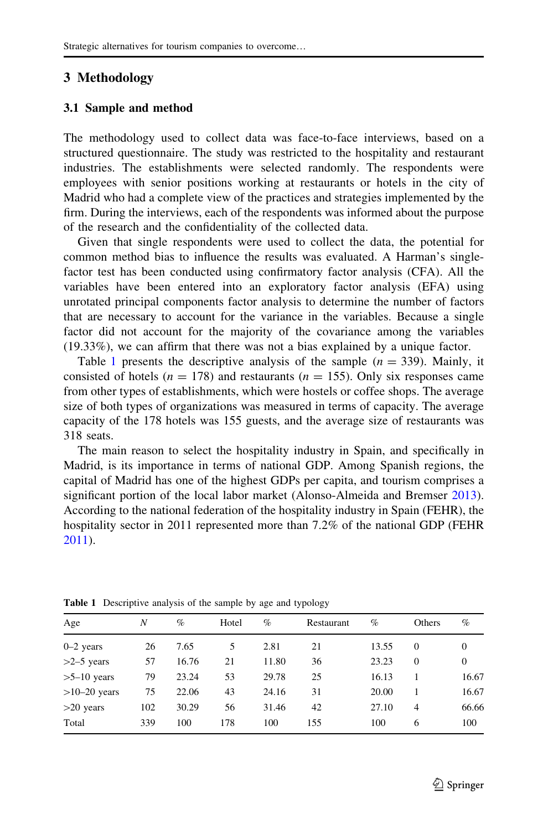### <span id="page-8-0"></span>3 Methodology

#### 3.1 Sample and method

The methodology used to collect data was face-to-face interviews, based on a structured questionnaire. The study was restricted to the hospitality and restaurant industries. The establishments were selected randomly. The respondents were employees with senior positions working at restaurants or hotels in the city of Madrid who had a complete view of the practices and strategies implemented by the firm. During the interviews, each of the respondents was informed about the purpose of the research and the confidentiality of the collected data.

Given that single respondents were used to collect the data, the potential for common method bias to influence the results was evaluated. A Harman's singlefactor test has been conducted using confirmatory factor analysis (CFA). All the variables have been entered into an exploratory factor analysis (EFA) using unrotated principal components factor analysis to determine the number of factors that are necessary to account for the variance in the variables. Because a single factor did not account for the majority of the covariance among the variables (19.33%), we can affirm that there was not a bias explained by a unique factor.

Table 1 presents the descriptive analysis of the sample  $(n = 339)$ . Mainly, it consisted of hotels ( $n = 178$ ) and restaurants ( $n = 155$ ). Only six responses came from other types of establishments, which were hostels or coffee shops. The average size of both types of organizations was measured in terms of capacity. The average capacity of the 178 hotels was 155 guests, and the average size of restaurants was 318 seats.

The main reason to select the hospitality industry in Spain, and specifically in Madrid, is its importance in terms of national GDP. Among Spanish regions, the capital of Madrid has one of the highest GDPs per capita, and tourism comprises a significant portion of the local labor market (Alonso-Almeida and Bremser [2013\)](#page-20-0). According to the national federation of the hospitality industry in Spain (FEHR), the hospitality sector in 2011 represented more than 7.2% of the national GDP (FEHR [2011\)](#page-21-0).

| Age            | N   | $\%$  | Hotel | $\%$  | Restaurant | $\%$  | Others   | $\%$     |
|----------------|-----|-------|-------|-------|------------|-------|----------|----------|
| $0-2$ years    | 26  | 7.65  | 5     | 2.81  | 21         | 13.55 | $\Omega$ | 0        |
| $>2-5$ years   | 57  | 16.76 | 21    | 11.80 | 36         | 23.23 | $\Omega$ | $\Omega$ |
| $>5-10$ years  | 79  | 23.24 | 53    | 29.78 | 25         | 16.13 |          | 16.67    |
| $>10-20$ years | 75  | 22.06 | 43    | 24.16 | 31         | 20.00 |          | 16.67    |
| $>20$ years    | 102 | 30.29 | 56    | 31.46 | 42         | 27.10 | 4        | 66.66    |
| Total          | 339 | 100   | 178   | 100   | 155        | 100   | 6        | 100      |

Table 1 Descriptive analysis of the sample by age and typology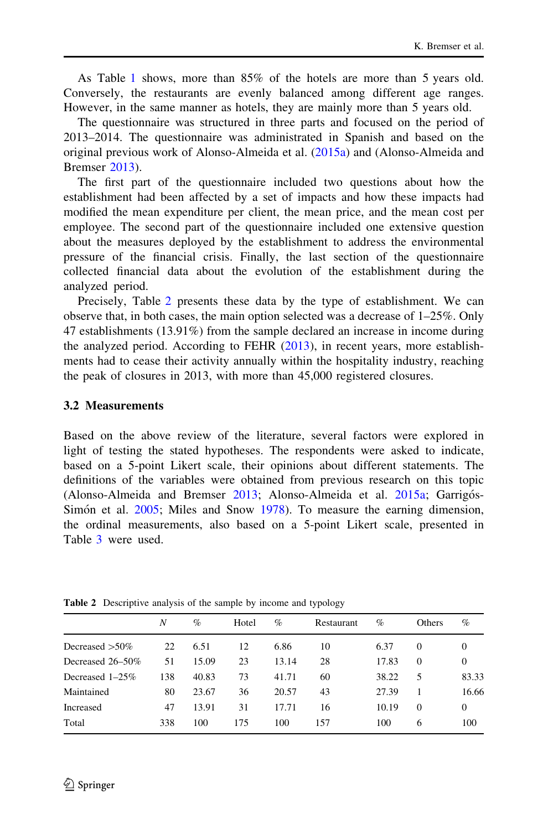As Table [1](#page-8-0) shows, more than 85% of the hotels are more than 5 years old. Conversely, the restaurants are evenly balanced among different age ranges. However, in the same manner as hotels, they are mainly more than 5 years old.

The questionnaire was structured in three parts and focused on the period of 2013–2014. The questionnaire was administrated in Spanish and based on the original previous work of Alonso-Almeida et al. ([2015a](#page-20-0)) and (Alonso-Almeida and Bremser [2013](#page-20-0)).

The first part of the questionnaire included two questions about how the establishment had been affected by a set of impacts and how these impacts had modified the mean expenditure per client, the mean price, and the mean cost per employee. The second part of the questionnaire included one extensive question about the measures deployed by the establishment to address the environmental pressure of the financial crisis. Finally, the last section of the questionnaire collected financial data about the evolution of the establishment during the analyzed period.

Precisely, Table 2 presents these data by the type of establishment. We can observe that, in both cases, the main option selected was a decrease of 1–25%. Only 47 establishments (13.91%) from the sample declared an increase in income during the analyzed period. According to FEHR  $(2013)$  $(2013)$ , in recent years, more establishments had to cease their activity annually within the hospitality industry, reaching the peak of closures in 2013, with more than 45,000 registered closures.

### 3.2 Measurements

Based on the above review of the literature, several factors were explored in light of testing the stated hypotheses. The respondents were asked to indicate, based on a 5-point Likert scale, their opinions about different statements. The definitions of the variables were obtained from previous research on this topic (Alonso-Almeida and Bremser  $2013$ ; Alonso-Almeida et al.  $2015a$ ; Garrigós-Simón et al. [2005;](#page-21-0) Miles and Snow [1978\)](#page-21-0). To measure the earning dimension, the ordinal measurements, also based on a 5-point Likert scale, presented in Table [3](#page-10-0) were used.

|                   | N   | $\%$  | Hotel | $\%$  | Restaurant | $\%$  | Others   | $\%$     |
|-------------------|-----|-------|-------|-------|------------|-------|----------|----------|
| Decreased $>50\%$ | 22  | 6.51  | 12    | 6.86  | 10         | 6.37  | $\Omega$ | 0        |
| Decreased 26–50%  | 51  | 15.09 | 23    | 13.14 | 28         | 17.83 | $\theta$ | $\Omega$ |
| Decreased 1-25%   | 138 | 40.83 | 73    | 41.71 | 60         | 38.22 | 5        | 83.33    |
| Maintained        | 80  | 23.67 | 36    | 20.57 | 43         | 27.39 |          | 16.66    |
| <b>Increased</b>  | 47  | 13.91 | 31    | 17.71 | 16         | 10.19 | $\Omega$ | $\Omega$ |
| Total             | 338 | 100   | 175   | 100   | 157        | 100   | 6        | 100      |
|                   |     |       |       |       |            |       |          |          |

Table 2 Descriptive analysis of the sample by income and typology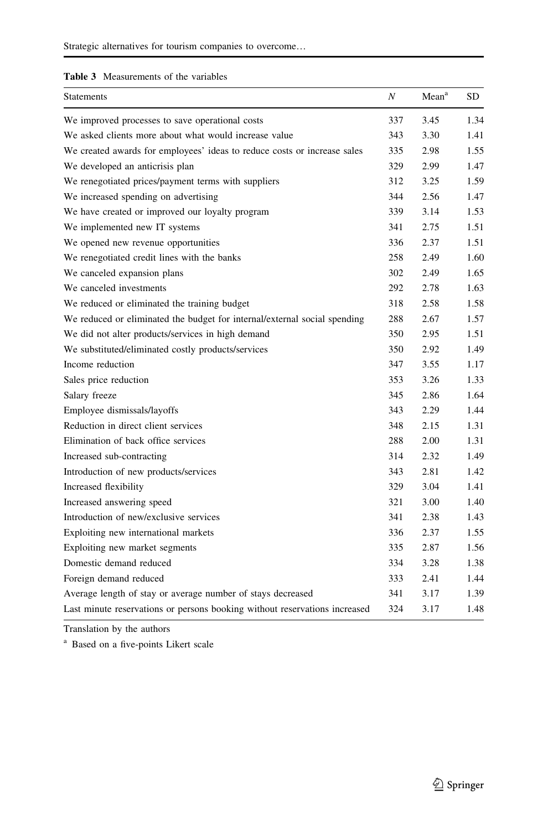<span id="page-10-0"></span>

| <b>Statements</b>                                                          | N   | Mean <sup>a</sup> | SD   |
|----------------------------------------------------------------------------|-----|-------------------|------|
| We improved processes to save operational costs                            | 337 | 3.45              | 1.34 |
| We asked clients more about what would increase value                      | 343 | 3.30              | 1.41 |
| We created awards for employees' ideas to reduce costs or increase sales   | 335 | 2.98              | 1.55 |
| We developed an anticrisis plan                                            | 329 | 2.99              | 1.47 |
| We renegotiated prices/payment terms with suppliers                        | 312 | 3.25              | 1.59 |
| We increased spending on advertising                                       | 344 | 2.56              | 1.47 |
| We have created or improved our loyalty program                            | 339 | 3.14              | 1.53 |
| We implemented new IT systems                                              | 341 | 2.75              | 1.51 |
| We opened new revenue opportunities                                        | 336 | 2.37              | 1.51 |
| We renegotiated credit lines with the banks                                | 258 | 2.49              | 1.60 |
| We canceled expansion plans                                                | 302 | 2.49              | 1.65 |
| We canceled investments                                                    | 292 | 2.78              | 1.63 |
| We reduced or eliminated the training budget                               | 318 | 2.58              | 1.58 |
| We reduced or eliminated the budget for internal/external social spending  | 288 | 2.67              | 1.57 |
| We did not alter products/services in high demand                          | 350 | 2.95              | 1.51 |
| We substituted/eliminated costly products/services                         | 350 | 2.92              | 1.49 |
| Income reduction                                                           | 347 | 3.55              | 1.17 |
| Sales price reduction                                                      | 353 | 3.26              | 1.33 |
| Salary freeze                                                              | 345 | 2.86              | 1.64 |
| Employee dismissals/layoffs                                                | 343 | 2.29              | 1.44 |
| Reduction in direct client services                                        | 348 | 2.15              | 1.31 |
| Elimination of back office services                                        | 288 | 2.00              | 1.31 |
| Increased sub-contracting                                                  | 314 | 2.32              | 1.49 |
| Introduction of new products/services                                      | 343 | 2.81              | 1.42 |
| Increased flexibility                                                      | 329 | 3.04              | 1.41 |
| Increased answering speed                                                  | 321 | 3.00              | 1.40 |
| Introduction of new/exclusive services                                     | 341 | 2.38              | 1.43 |
| Exploiting new international markets                                       | 336 | 2.37              | 1.55 |
| Exploiting new market segments                                             | 335 | 2.87              | 1.56 |
| Domestic demand reduced                                                    | 334 | 3.28              | 1.38 |
| Foreign demand reduced                                                     | 333 | 2.41              | 1.44 |
| Average length of stay or average number of stays decreased                | 341 | 3.17              | 1.39 |
| Last minute reservations or persons booking without reservations increased | 324 | 3.17              | 1.48 |

Translation by the authors

<sup>a</sup> Based on a five-points Likert scale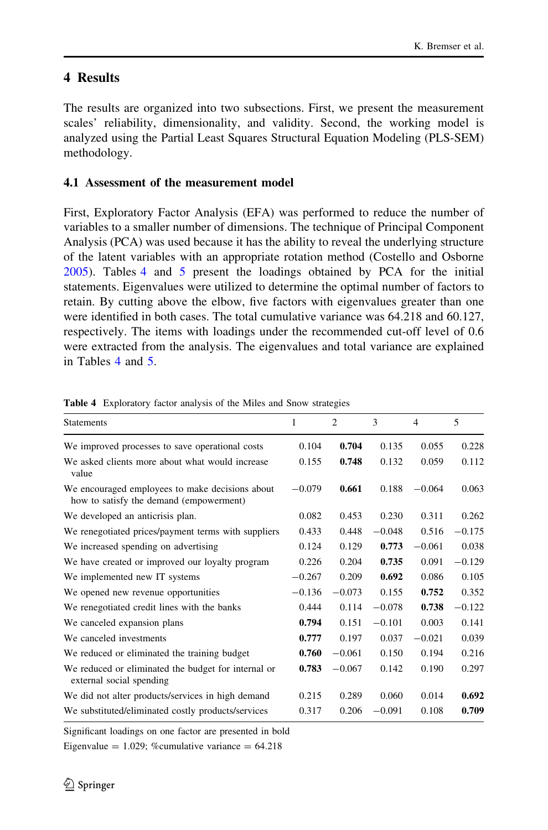## <span id="page-11-0"></span>4 Results

The results are organized into two subsections. First, we present the measurement scales' reliability, dimensionality, and validity. Second, the working model is analyzed using the Partial Least Squares Structural Equation Modeling (PLS-SEM) methodology.

### 4.1 Assessment of the measurement model

First, Exploratory Factor Analysis (EFA) was performed to reduce the number of variables to a smaller number of dimensions. The technique of Principal Component Analysis (PCA) was used because it has the ability to reveal the underlying structure of the latent variables with an appropriate rotation method (Costello and Osborne [2005\)](#page-20-0). Tables 4 and [5](#page-12-0) present the loadings obtained by PCA for the initial statements. Eigenvalues were utilized to determine the optimal number of factors to retain. By cutting above the elbow, five factors with eigenvalues greater than one were identified in both cases. The total cumulative variance was 64.218 and 60.127, respectively. The items with loadings under the recommended cut-off level of 0.6 were extracted from the analysis. The eigenvalues and total variance are explained in Tables 4 and [5](#page-12-0).

| <b>Statements</b>                                                                          | 1        | $\overline{c}$ | $\mathbf{3}$ | $\overline{4}$ | 5        |
|--------------------------------------------------------------------------------------------|----------|----------------|--------------|----------------|----------|
| We improved processes to save operational costs                                            | 0.104    | 0.704          | 0.135        | 0.055          | 0.228    |
| We asked clients more about what would increase<br>value                                   | 0.155    | 0.748          | 0.132        | 0.059          | 0.112    |
| We encouraged employees to make decisions about<br>how to satisfy the demand (empowerment) | $-0.079$ | 0.661          | 0.188        | $-0.064$       | 0.063    |
| We developed an anticrisis plan.                                                           | 0.082    | 0.453          | 0.230        | 0.311          | 0.262    |
| We renegotiated prices/payment terms with suppliers                                        | 0.433    | 0.448          | $-0.048$     | 0.516          | $-0.175$ |
| We increased spending on advertising                                                       | 0.124    | 0.129          | 0.773        | $-0.061$       | 0.038    |
| We have created or improved our loyalty program                                            | 0.226    | 0.204          | 0.735        | 0.091          | $-0.129$ |
| We implemented new IT systems                                                              | $-0.267$ | 0.209          | 0.692        | 0.086          | 0.105    |
| We opened new revenue opportunities                                                        | $-0.136$ | $-0.073$       | 0.155        | 0.752          | 0.352    |
| We renegotiated credit lines with the banks                                                | 0.444    | 0.114          | $-0.078$     | 0.738          | $-0.122$ |
| We canceled expansion plans                                                                | 0.794    | 0.151          | $-0.101$     | 0.003          | 0.141    |
| We canceled investments                                                                    | 0.777    | 0.197          | 0.037        | $-0.021$       | 0.039    |
| We reduced or eliminated the training budget                                               | 0.760    | $-0.061$       | 0.150        | 0.194          | 0.216    |
| We reduced or eliminated the budget for internal or<br>external social spending            | 0.783    | $-0.067$       | 0.142        | 0.190          | 0.297    |
| We did not alter products/services in high demand                                          | 0.215    | 0.289          | 0.060        | 0.014          | 0.692    |
| We substituted/eliminated costly products/services                                         | 0.317    | 0.206          | $-0.091$     | 0.108          | 0.709    |

Table 4 Exploratory factor analysis of the Miles and Snow strategies

Significant loadings on one factor are presented in bold

Eigenvalue =  $1.029$ ; %cumulative variance =  $64.218$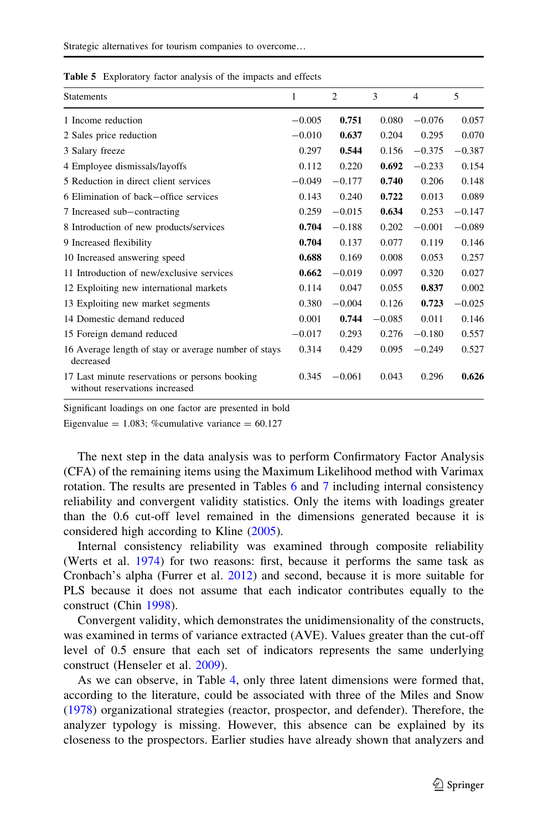<span id="page-12-0"></span>

|  | <b>Table 5</b> Exploratory factor analysis of the impacts and effects |  |  |  |  |
|--|-----------------------------------------------------------------------|--|--|--|--|
|--|-----------------------------------------------------------------------|--|--|--|--|

| <b>Statements</b>                                                                | 1        | $\overline{2}$ | 3        | $\overline{4}$ | 5        |
|----------------------------------------------------------------------------------|----------|----------------|----------|----------------|----------|
| 1 Income reduction                                                               | $-0.005$ | 0.751          | 0.080    | $-0.076$       | 0.057    |
| 2 Sales price reduction                                                          | $-0.010$ | 0.637          | 0.204    | 0.295          | 0.070    |
| 3 Salary freeze                                                                  | 0.297    | 0.544          | 0.156    | $-0.375$       | $-0.387$ |
| 4 Employee dismissals/layoffs                                                    | 0.112    | 0.220          | 0.692    | $-0.233$       | 0.154    |
| 5 Reduction in direct client services                                            | $-0.049$ | $-0.177$       | 0.740    | 0.206          | 0.148    |
| 6 Elimination of back-office services                                            | 0.143    | 0.240          | 0.722    | 0.013          | 0.089    |
| 7 Increased sub-contracting                                                      | 0.259    | $-0.015$       | 0.634    | 0.253          | $-0.147$ |
| 8 Introduction of new products/services                                          | 0.704    | $-0.188$       | 0.202    | $-0.001$       | $-0.089$ |
| 9 Increased flexibility                                                          | 0.704    | 0.137          | 0.077    | 0.119          | 0.146    |
| 10 Increased answering speed                                                     | 0.688    | 0.169          | 0.008    | 0.053          | 0.257    |
| 11 Introduction of new/exclusive services                                        | 0.662    | $-0.019$       | 0.097    | 0.320          | 0.027    |
| 12 Exploiting new international markets                                          | 0.114    | 0.047          | 0.055    | 0.837          | 0.002    |
| 13 Exploiting new market segments                                                | 0.380    | $-0.004$       | 0.126    | 0.723          | $-0.025$ |
| 14 Domestic demand reduced                                                       | 0.001    | 0.744          | $-0.085$ | 0.011          | 0.146    |
| 15 Foreign demand reduced                                                        | $-0.017$ | 0.293          | 0.276    | $-0.180$       | 0.557    |
| 16 Average length of stay or average number of stays<br>decreased                | 0.314    | 0.429          | 0.095    | $-0.249$       | 0.527    |
| 17 Last minute reservations or persons booking<br>without reservations increased | 0.345    | $-0.061$       | 0.043    | 0.296          | 0.626    |

Significant loadings on one factor are presented in bold

Eigenvalue = 1.083; %cumulative variance =  $60.127$ 

The next step in the data analysis was to perform Confirmatory Factor Analysis (CFA) of the remaining items using the Maximum Likelihood method with Varimax rotation. The results are presented in Tables  $6$  and  $7$  including internal consistency reliability and convergent validity statistics. Only the items with loadings greater than the 0.6 cut-off level remained in the dimensions generated because it is considered high according to Kline ([2005\)](#page-21-0).

Internal consistency reliability was examined through composite reliability (Werts et al. [1974\)](#page-22-0) for two reasons: first, because it performs the same task as Cronbach's alpha (Furrer et al. [2012\)](#page-21-0) and second, because it is more suitable for PLS because it does not assume that each indicator contributes equally to the construct (Chin [1998](#page-20-0)).

Convergent validity, which demonstrates the unidimensionality of the constructs, was examined in terms of variance extracted (AVE). Values greater than the cut-off level of 0.5 ensure that each set of indicators represents the same underlying construct (Henseler et al. [2009\)](#page-21-0).

As we can observe, in Table [4](#page-11-0), only three latent dimensions were formed that, according to the literature, could be associated with three of the Miles and Snow [\(1978](#page-21-0)) organizational strategies (reactor, prospector, and defender). Therefore, the analyzer typology is missing. However, this absence can be explained by its closeness to the prospectors. Earlier studies have already shown that analyzers and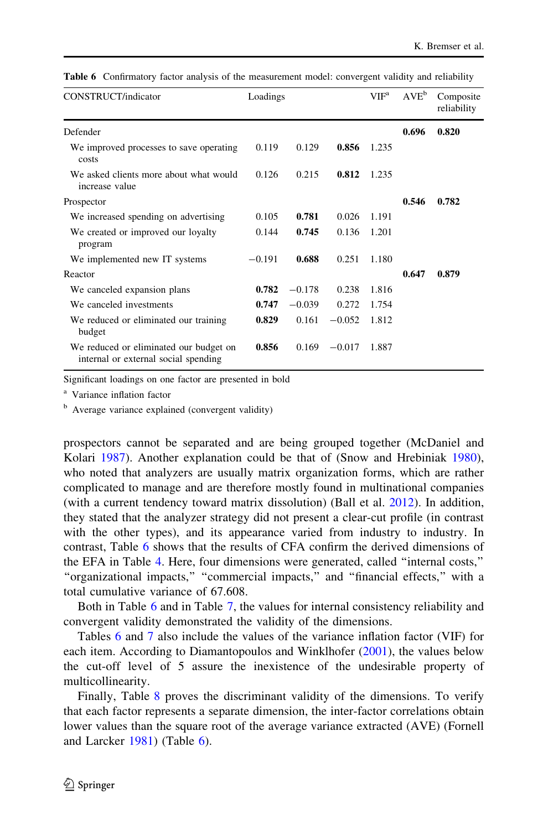| CONSTRUCT/indicator                                                            | Loadings |          |          | $VIF^a$ | $AVE^{b}$ | Composite<br>reliability |
|--------------------------------------------------------------------------------|----------|----------|----------|---------|-----------|--------------------------|
| Defender                                                                       |          |          |          |         | 0.696     | 0.820                    |
| We improved processes to save operating<br>costs                               | 0.119    | 0.129    | 0.856    | 1.235   |           |                          |
| We asked clients more about what would<br>increase value                       | 0.126    | 0.215    | 0.812    | 1.235   |           |                          |
| Prospector                                                                     |          |          |          |         | 0.546     | 0.782                    |
| We increased spending on advertising                                           | 0.105    | 0.781    | 0.026    | 1.191   |           |                          |
| We created or improved our loyalty<br>program                                  | 0.144    | 0.745    | 0.136    | 1.201   |           |                          |
| We implemented new IT systems                                                  | $-0.191$ | 0.688    | 0.251    | 1.180   |           |                          |
| Reactor                                                                        |          |          |          |         | 0.647     | 0.879                    |
| We canceled expansion plans                                                    | 0.782    | $-0.178$ | 0.238    | 1.816   |           |                          |
| We canceled investments                                                        | 0.747    | $-0.039$ | 0.272    | 1.754   |           |                          |
| We reduced or eliminated our training<br>budget                                | 0.829    | 0.161    | $-0.052$ | 1.812   |           |                          |
| We reduced or eliminated our budget on<br>internal or external social spending | 0.856    | 0.169    | $-0.017$ | 1.887   |           |                          |

<span id="page-13-0"></span>Table 6 Confirmatory factor analysis of the measurement model: convergent validity and reliability

Significant loadings on one factor are presented in bold

<sup>a</sup> Variance inflation factor

 $<sup>b</sup>$  Average variance explained (convergent validity)</sup>

prospectors cannot be separated and are being grouped together (McDaniel and Kolari [1987\)](#page-21-0). Another explanation could be that of (Snow and Hrebiniak [1980\)](#page-22-0), who noted that analyzers are usually matrix organization forms, which are rather complicated to manage and are therefore mostly found in multinational companies (with a current tendency toward matrix dissolution) (Ball et al. [2012](#page-20-0)). In addition, they stated that the analyzer strategy did not present a clear-cut profile (in contrast with the other types), and its appearance varied from industry to industry. In contrast, Table 6 shows that the results of CFA confirm the derived dimensions of the EFA in Table [4.](#page-11-0) Here, four dimensions were generated, called ''internal costs,'' ''organizational impacts,'' ''commercial impacts,'' and ''financial effects,'' with a total cumulative variance of 67.608.

Both in Table 6 and in Table [7](#page-14-0), the values for internal consistency reliability and convergent validity demonstrated the validity of the dimensions.

Tables 6 and [7](#page-14-0) also include the values of the variance inflation factor (VIF) for each item. According to Diamantopoulos and Winklhofer [\(2001](#page-20-0)), the values below the cut-off level of 5 assure the inexistence of the undesirable property of multicollinearity.

Finally, Table [8](#page-14-0) proves the discriminant validity of the dimensions. To verify that each factor represents a separate dimension, the inter-factor correlations obtain lower values than the square root of the average variance extracted (AVE) (Fornell and Larcker [1981](#page-21-0)) (Table 6).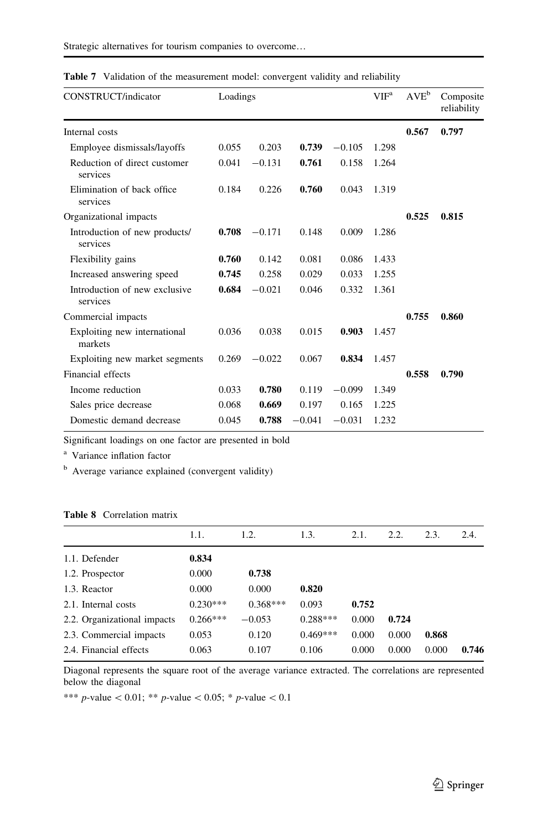| CONSTRUCT/indicator                       | Loadings |          |          |          | $VIF^a$ | $AVE^{b}$ | Composite<br>reliability |
|-------------------------------------------|----------|----------|----------|----------|---------|-----------|--------------------------|
| Internal costs                            |          |          |          |          |         | 0.567     | 0.797                    |
| Employee dismissals/layoffs               | 0.055    | 0.203    | 0.739    | $-0.105$ | 1.298   |           |                          |
| Reduction of direct customer<br>services  | 0.041    | $-0.131$ | 0.761    | 0.158    | 1.264   |           |                          |
| Elimination of back office<br>services    | 0.184    | 0.226    | 0.760    | 0.043    | 1.319   |           |                          |
| Organizational impacts                    |          |          |          |          |         | 0.525     | 0.815                    |
| Introduction of new products/<br>services | 0.708    | $-0.171$ | 0.148    | 0.009    | 1.286   |           |                          |
| Flexibility gains                         | 0.760    | 0.142    | 0.081    | 0.086    | 1.433   |           |                          |
| Increased answering speed                 | 0.745    | 0.258    | 0.029    | 0.033    | 1.255   |           |                          |
| Introduction of new exclusive<br>services | 0.684    | $-0.021$ | 0.046    | 0.332    | 1.361   |           |                          |
| Commercial impacts                        |          |          |          |          |         | 0.755     | 0.860                    |
| Exploiting new international<br>markets   | 0.036    | 0.038    | 0.015    | 0.903    | 1.457   |           |                          |
| Exploiting new market segments            | 0.269    | $-0.022$ | 0.067    | 0.834    | 1.457   |           |                          |
| Financial effects                         |          |          |          |          |         | 0.558     | 0.790                    |
| Income reduction                          | 0.033    | 0.780    | 0.119    | $-0.099$ | 1.349   |           |                          |
| Sales price decrease                      | 0.068    | 0.669    | 0.197    | 0.165    | 1.225   |           |                          |
| Domestic demand decrease                  | 0.045    | 0.788    | $-0.041$ | $-0.031$ | 1.232   |           |                          |

<span id="page-14-0"></span>Table 7 Validation of the measurement model: convergent validity and reliability

Significant loadings on one factor are presented in bold

<sup>a</sup> Variance inflation factor

<sup>b</sup> Average variance explained (convergent validity)

|  | <b>Table 8</b> Correlation matrix |  |
|--|-----------------------------------|--|
|  |                                   |  |

|                             | 1.1.       | 1.2.       | 1.3.       | 2.1.  | 2.2.  | 2.3.  | 2.4.  |
|-----------------------------|------------|------------|------------|-------|-------|-------|-------|
| 1.1. Defender               | 0.834      |            |            |       |       |       |       |
| 1.2. Prospector             | 0.000      | 0.738      |            |       |       |       |       |
| 1.3. Reactor                | 0.000      | 0.000      | 0.820      |       |       |       |       |
| 2.1. Internal costs         | $0.230***$ | $0.368***$ | 0.093      | 0.752 |       |       |       |
| 2.2. Organizational impacts | $0.266***$ | $-0.053$   | $0.288***$ | 0.000 | 0.724 |       |       |
| 2.3. Commercial impacts     | 0.053      | 0.120      | $0.469***$ | 0.000 | 0.000 | 0.868 |       |
| 2.4. Financial effects      | 0.063      | 0.107      | 0.106      | 0.000 | 0.000 | 0.000 | 0.746 |
|                             |            |            |            |       |       |       |       |

Diagonal represents the square root of the average variance extracted. The correlations are represented below the diagonal

\*\*\* p-value  $< 0.01$ ; \*\* p-value  $< 0.05$ ; \* p-value  $< 0.1$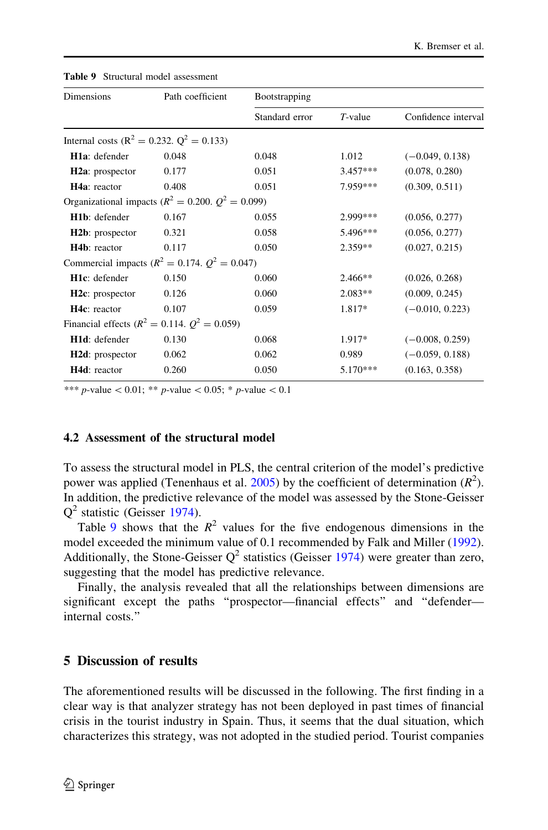| Dimensions                                       | Path coefficient                                         | Bootstrapping  |            |                     |  |  |  |  |  |
|--------------------------------------------------|----------------------------------------------------------|----------------|------------|---------------------|--|--|--|--|--|
|                                                  |                                                          | Standard error | $T$ -value | Confidence interval |  |  |  |  |  |
| Internal costs ( $R^2 = 0.232$ , $Q^2 = 0.133$ ) |                                                          |                |            |                     |  |  |  |  |  |
| H1a: defender                                    | 0.048                                                    | 0.048          | 1.012      | $(-0.049, 0.138)$   |  |  |  |  |  |
| H <sub>2</sub> a: prospector                     | 0.177                                                    | 0.051          | $3.457***$ | (0.078, 0.280)      |  |  |  |  |  |
| H <sub>4a</sub> : reactor                        | 0.408                                                    | 0.051          | 7.959***   | (0.309, 0.511)      |  |  |  |  |  |
|                                                  | Organizational impacts ( $R^2 = 0.200$ . $Q^2 = 0.099$ ) |                |            |                     |  |  |  |  |  |
| H <sub>1</sub> b: defender                       | 0.167                                                    | 0.055          | 2.999***   | (0.056, 0.277)      |  |  |  |  |  |
| <b>H2b</b> : prospector                          | 0.321                                                    | 0.058          | 5.496***   | (0.056, 0.277)      |  |  |  |  |  |
| H <sub>4</sub> b: reactor                        | 0.117                                                    | 0.050          | $2.359**$  | (0.027, 0.215)      |  |  |  |  |  |
|                                                  | Commercial impacts ( $R^2 = 0.174$ . $Q^2 = 0.047$ )     |                |            |                     |  |  |  |  |  |
| H <sub>1</sub> c: defender                       | 0.150                                                    | 0.060          | $2.466**$  | (0.026, 0.268)      |  |  |  |  |  |
| $H2c:$ prospector                                | 0.126                                                    | 0.060          | $2.083**$  | (0.009, 0.245)      |  |  |  |  |  |
| H <sub>4</sub> c: reactor                        | 0.107                                                    | 0.059          | 1.817*     | $(-0.010, 0.223)$   |  |  |  |  |  |
|                                                  | Financial effects ( $R^2 = 0.114$ , $Q^2 = 0.059$ )      |                |            |                     |  |  |  |  |  |
| H1d: defender                                    | 0.130                                                    | 0.068          | $1.917*$   | $(-0.008, 0.259)$   |  |  |  |  |  |
| H <sub>2d</sub> : prospector                     | 0.062                                                    | 0.062          | 0.989      | $(-0.059, 0.188)$   |  |  |  |  |  |
| H4d: reactor                                     | 0.260                                                    | 0.050          | $5.170***$ | (0.163, 0.358)      |  |  |  |  |  |
|                                                  |                                                          |                |            |                     |  |  |  |  |  |

Table 9 Structural model assessment

\*\*\* p-value  $< 0.01$ ; \*\* p-value  $< 0.05$ ; \* p-value  $< 0.1$ 

### 4.2 Assessment of the structural model

To assess the structural model in PLS, the central criterion of the model's predictive power was applied (Tenenhaus et al. [2005](#page-22-0)) by the coefficient of determination  $(R^2)$ . In addition, the predictive relevance of the model was assessed by the Stone-Geisser  $Q<sup>2</sup>$  statistic (Geisser [1974\)](#page-21-0).

Table 9 shows that the  $R^2$  values for the five endogenous dimensions in the model exceeded the minimum value of 0.1 recommended by Falk and Miller ([1992\)](#page-21-0). Additionally, the Stone-Geisser  $Q^2$  statistics (Geisser [1974\)](#page-21-0) were greater than zero, suggesting that the model has predictive relevance.

Finally, the analysis revealed that all the relationships between dimensions are significant except the paths ''prospector—financial effects'' and ''defender internal costs.''

### 5 Discussion of results

The aforementioned results will be discussed in the following. The first finding in a clear way is that analyzer strategy has not been deployed in past times of financial crisis in the tourist industry in Spain. Thus, it seems that the dual situation, which characterizes this strategy, was not adopted in the studied period. Tourist companies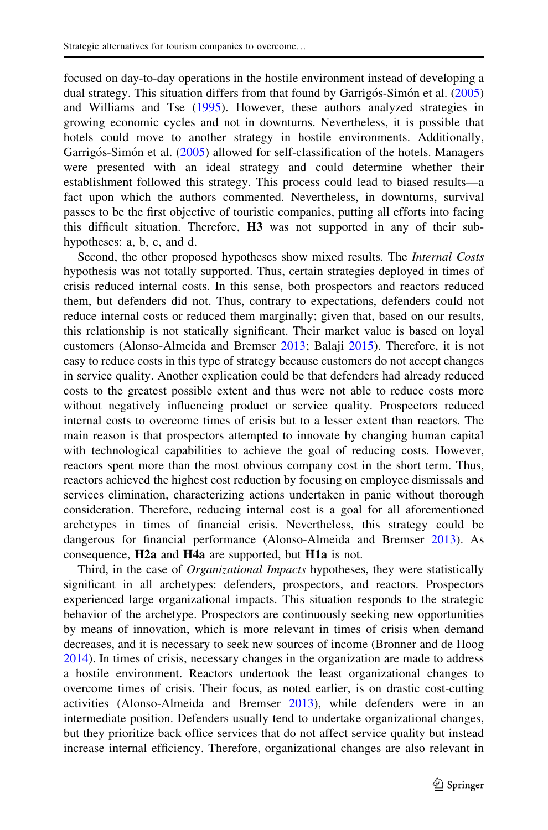focused on day-to-day operations in the hostile environment instead of developing a dual strategy. This situation differs from that found by Garrigots-Simon et al. [\(2005](#page-21-0)) and Williams and Tse ([1995\)](#page-22-0). However, these authors analyzed strategies in growing economic cycles and not in downturns. Nevertheless, it is possible that hotels could move to another strategy in hostile environments. Additionally, Garrigós-Simón et al. ([2005\)](#page-21-0) allowed for self-classification of the hotels. Managers were presented with an ideal strategy and could determine whether their establishment followed this strategy. This process could lead to biased results—a fact upon which the authors commented. Nevertheless, in downturns, survival passes to be the first objective of touristic companies, putting all efforts into facing this difficult situation. Therefore, H3 was not supported in any of their subhypotheses: a, b, c, and d.

Second, the other proposed hypotheses show mixed results. The Internal Costs hypothesis was not totally supported. Thus, certain strategies deployed in times of crisis reduced internal costs. In this sense, both prospectors and reactors reduced them, but defenders did not. Thus, contrary to expectations, defenders could not reduce internal costs or reduced them marginally; given that, based on our results, this relationship is not statically significant. Their market value is based on loyal customers (Alonso-Almeida and Bremser [2013](#page-20-0); Balaji [2015\)](#page-20-0). Therefore, it is not easy to reduce costs in this type of strategy because customers do not accept changes in service quality. Another explication could be that defenders had already reduced costs to the greatest possible extent and thus were not able to reduce costs more without negatively influencing product or service quality. Prospectors reduced internal costs to overcome times of crisis but to a lesser extent than reactors. The main reason is that prospectors attempted to innovate by changing human capital with technological capabilities to achieve the goal of reducing costs. However, reactors spent more than the most obvious company cost in the short term. Thus, reactors achieved the highest cost reduction by focusing on employee dismissals and services elimination, characterizing actions undertaken in panic without thorough consideration. Therefore, reducing internal cost is a goal for all aforementioned archetypes in times of financial crisis. Nevertheless, this strategy could be dangerous for financial performance (Alonso-Almeida and Bremser [2013\)](#page-20-0). As consequence, H2a and H4a are supported, but H1a is not.

Third, in the case of *Organizational Impacts* hypotheses, they were statistically significant in all archetypes: defenders, prospectors, and reactors. Prospectors experienced large organizational impacts. This situation responds to the strategic behavior of the archetype. Prospectors are continuously seeking new opportunities by means of innovation, which is more relevant in times of crisis when demand decreases, and it is necessary to seek new sources of income (Bronner and de Hoog [2014\)](#page-20-0). In times of crisis, necessary changes in the organization are made to address a hostile environment. Reactors undertook the least organizational changes to overcome times of crisis. Their focus, as noted earlier, is on drastic cost-cutting activities (Alonso-Almeida and Bremser [2013\)](#page-20-0), while defenders were in an intermediate position. Defenders usually tend to undertake organizational changes, but they prioritize back office services that do not affect service quality but instead increase internal efficiency. Therefore, organizational changes are also relevant in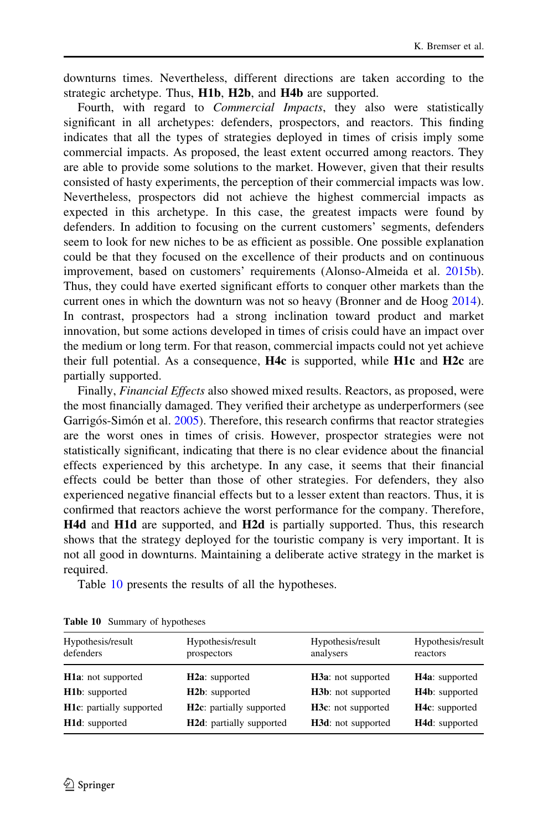downturns times. Nevertheless, different directions are taken according to the strategic archetype. Thus, H1b, H2b, and H4b are supported.

Fourth, with regard to *Commercial Impacts*, they also were statistically significant in all archetypes: defenders, prospectors, and reactors. This finding indicates that all the types of strategies deployed in times of crisis imply some commercial impacts. As proposed, the least extent occurred among reactors. They are able to provide some solutions to the market. However, given that their results consisted of hasty experiments, the perception of their commercial impacts was low. Nevertheless, prospectors did not achieve the highest commercial impacts as expected in this archetype. In this case, the greatest impacts were found by defenders. In addition to focusing on the current customers' segments, defenders seem to look for new niches to be as efficient as possible. One possible explanation could be that they focused on the excellence of their products and on continuous improvement, based on customers' requirements (Alonso-Almeida et al. [2015b\)](#page-20-0). Thus, they could have exerted significant efforts to conquer other markets than the current ones in which the downturn was not so heavy (Bronner and de Hoog [2014\)](#page-20-0). In contrast, prospectors had a strong inclination toward product and market innovation, but some actions developed in times of crisis could have an impact over the medium or long term. For that reason, commercial impacts could not yet achieve their full potential. As a consequence,  $H4c$  is supported, while  $H1c$  and  $H2c$  are partially supported.

Finally, *Financial Effects* also showed mixed results. Reactors, as proposed, were the most financially damaged. They verified their archetype as underperformers (see Garrigós-Simón et al. [2005\)](#page-21-0). Therefore, this research confirms that reactor strategies are the worst ones in times of crisis. However, prospector strategies were not statistically significant, indicating that there is no clear evidence about the financial effects experienced by this archetype. In any case, it seems that their financial effects could be better than those of other strategies. For defenders, they also experienced negative financial effects but to a lesser extent than reactors. Thus, it is confirmed that reactors achieve the worst performance for the company. Therefore, H4d and H1d are supported, and H2d is partially supported. Thus, this research shows that the strategy deployed for the touristic company is very important. It is not all good in downturns. Maintaining a deliberate active strategy in the market is required.

Table 10 presents the results of all the hypotheses.

| Hypothesis/result<br>prospectors | Hypothesis/result<br>analysers | Hypothesis/result<br>reactors |
|----------------------------------|--------------------------------|-------------------------------|
| <b>H2a</b> : supported           | H3a: not supported             | H <sub>4</sub> a: supported   |
| <b>H2b</b> : supported           | <b>H3b</b> : not supported     | <b>H4b</b> : supported        |
| <b>H2c</b> : partially supported | <b>H3c</b> : not supported     | H4c: supported                |
| <b>H2d</b> : partially supported | <b>H3d</b> : not supported     | <b>H4d</b> : supported        |
|                                  |                                |                               |

Table 10 Summary of hypotheses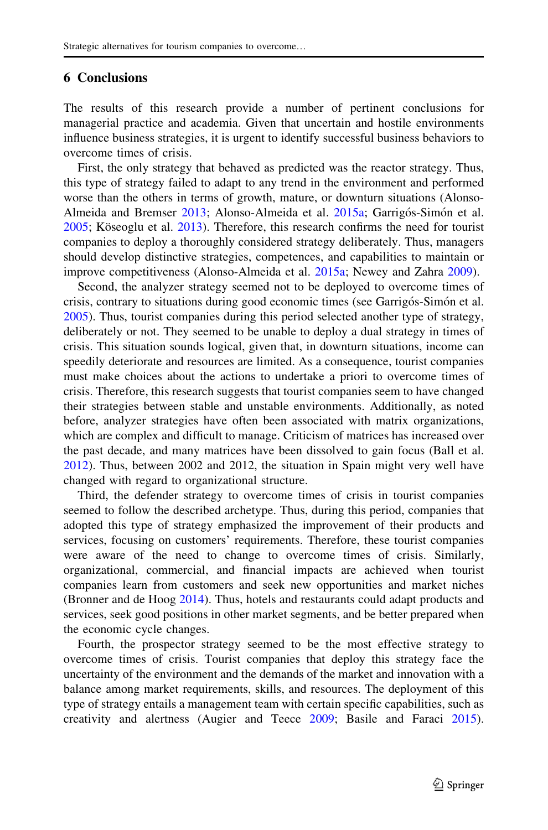### 6 Conclusions

The results of this research provide a number of pertinent conclusions for managerial practice and academia. Given that uncertain and hostile environments influence business strategies, it is urgent to identify successful business behaviors to overcome times of crisis.

First, the only strategy that behaved as predicted was the reactor strategy. Thus, this type of strategy failed to adapt to any trend in the environment and performed worse than the others in terms of growth, mature, or downturn situations (Alonso-Almeida and Bremser [2013;](#page-20-0) Alonso-Almeida et al. [2015a](#page-20-0); Garrigós-Simón et al.  $2005$ ; Köseoglu et al.  $2013$ ). Therefore, this research confirms the need for tourist companies to deploy a thoroughly considered strategy deliberately. Thus, managers should develop distinctive strategies, competences, and capabilities to maintain or improve competitiveness (Alonso-Almeida et al. [2015a](#page-20-0); Newey and Zahra [2009](#page-21-0)).

Second, the analyzer strategy seemed not to be deployed to overcome times of crisis, contrary to situations during good economic times (see Garrigo's-Simon et al. [2005\)](#page-21-0). Thus, tourist companies during this period selected another type of strategy, deliberately or not. They seemed to be unable to deploy a dual strategy in times of crisis. This situation sounds logical, given that, in downturn situations, income can speedily deteriorate and resources are limited. As a consequence, tourist companies must make choices about the actions to undertake a priori to overcome times of crisis. Therefore, this research suggests that tourist companies seem to have changed their strategies between stable and unstable environments. Additionally, as noted before, analyzer strategies have often been associated with matrix organizations, which are complex and difficult to manage. Criticism of matrices has increased over the past decade, and many matrices have been dissolved to gain focus (Ball et al. [2012\)](#page-20-0). Thus, between 2002 and 2012, the situation in Spain might very well have changed with regard to organizational structure.

Third, the defender strategy to overcome times of crisis in tourist companies seemed to follow the described archetype. Thus, during this period, companies that adopted this type of strategy emphasized the improvement of their products and services, focusing on customers' requirements. Therefore, these tourist companies were aware of the need to change to overcome times of crisis. Similarly, organizational, commercial, and financial impacts are achieved when tourist companies learn from customers and seek new opportunities and market niches (Bronner and de Hoog [2014\)](#page-20-0). Thus, hotels and restaurants could adapt products and services, seek good positions in other market segments, and be better prepared when the economic cycle changes.

Fourth, the prospector strategy seemed to be the most effective strategy to overcome times of crisis. Tourist companies that deploy this strategy face the uncertainty of the environment and the demands of the market and innovation with a balance among market requirements, skills, and resources. The deployment of this type of strategy entails a management team with certain specific capabilities, such as creativity and alertness (Augier and Teece [2009](#page-20-0); Basile and Faraci [2015\)](#page-20-0).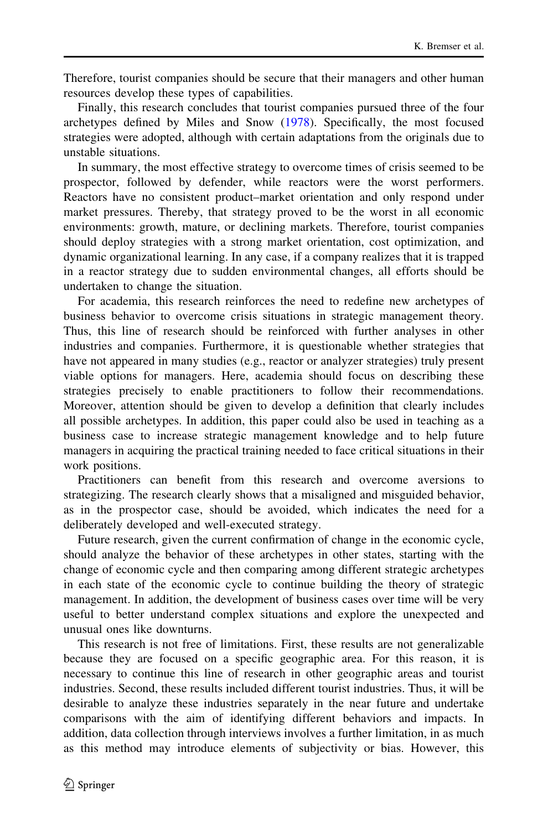Therefore, tourist companies should be secure that their managers and other human resources develop these types of capabilities.

Finally, this research concludes that tourist companies pursued three of the four archetypes defined by Miles and Snow ([1978\)](#page-21-0). Specifically, the most focused strategies were adopted, although with certain adaptations from the originals due to unstable situations.

In summary, the most effective strategy to overcome times of crisis seemed to be prospector, followed by defender, while reactors were the worst performers. Reactors have no consistent product–market orientation and only respond under market pressures. Thereby, that strategy proved to be the worst in all economic environments: growth, mature, or declining markets. Therefore, tourist companies should deploy strategies with a strong market orientation, cost optimization, and dynamic organizational learning. In any case, if a company realizes that it is trapped in a reactor strategy due to sudden environmental changes, all efforts should be undertaken to change the situation.

For academia, this research reinforces the need to redefine new archetypes of business behavior to overcome crisis situations in strategic management theory. Thus, this line of research should be reinforced with further analyses in other industries and companies. Furthermore, it is questionable whether strategies that have not appeared in many studies (e.g., reactor or analyzer strategies) truly present viable options for managers. Here, academia should focus on describing these strategies precisely to enable practitioners to follow their recommendations. Moreover, attention should be given to develop a definition that clearly includes all possible archetypes. In addition, this paper could also be used in teaching as a business case to increase strategic management knowledge and to help future managers in acquiring the practical training needed to face critical situations in their work positions.

Practitioners can benefit from this research and overcome aversions to strategizing. The research clearly shows that a misaligned and misguided behavior, as in the prospector case, should be avoided, which indicates the need for a deliberately developed and well-executed strategy.

Future research, given the current confirmation of change in the economic cycle, should analyze the behavior of these archetypes in other states, starting with the change of economic cycle and then comparing among different strategic archetypes in each state of the economic cycle to continue building the theory of strategic management. In addition, the development of business cases over time will be very useful to better understand complex situations and explore the unexpected and unusual ones like downturns.

This research is not free of limitations. First, these results are not generalizable because they are focused on a specific geographic area. For this reason, it is necessary to continue this line of research in other geographic areas and tourist industries. Second, these results included different tourist industries. Thus, it will be desirable to analyze these industries separately in the near future and undertake comparisons with the aim of identifying different behaviors and impacts. In addition, data collection through interviews involves a further limitation, in as much as this method may introduce elements of subjectivity or bias. However, this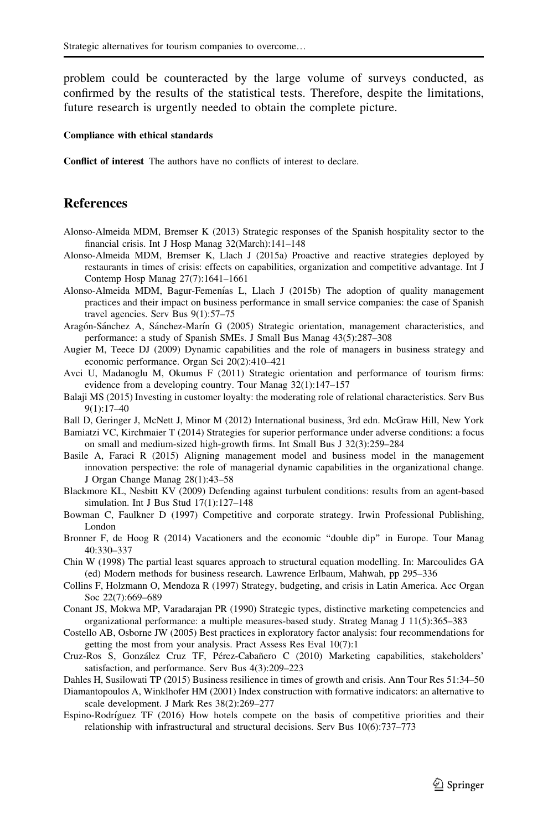<span id="page-20-0"></span>problem could be counteracted by the large volume of surveys conducted, as confirmed by the results of the statistical tests. Therefore, despite the limitations, future research is urgently needed to obtain the complete picture.

#### Compliance with ethical standards

Conflict of interest The authors have no conflicts of interest to declare.

### **References**

- Alonso-Almeida MDM, Bremser K (2013) Strategic responses of the Spanish hospitality sector to the financial crisis. Int J Hosp Manag 32(March):141–148
- Alonso-Almeida MDM, Bremser K, Llach J (2015a) Proactive and reactive strategies deployed by restaurants in times of crisis: effects on capabilities, organization and competitive advantage. Int J Contemp Hosp Manag 27(7):1641–1661
- Alonso-Almeida MDM, Bagur-Femenías L, Llach J (2015b) The adoption of quality management practices and their impact on business performance in small service companies: the case of Spanish travel agencies. Serv Bus 9(1):57–75
- Aragón-Sánchez A, Sánchez-Marín G (2005) Strategic orientation, management characteristics, and performance: a study of Spanish SMEs. J Small Bus Manag 43(5):287–308
- Augier M, Teece DJ (2009) Dynamic capabilities and the role of managers in business strategy and economic performance. Organ Sci 20(2):410–421
- Avci U, Madanoglu M, Okumus F (2011) Strategic orientation and performance of tourism firms: evidence from a developing country. Tour Manag 32(1):147–157
- Balaji MS (2015) Investing in customer loyalty: the moderating role of relational characteristics. Serv Bus 9(1):17–40

Ball D, Geringer J, McNett J, Minor M (2012) International business, 3rd edn. McGraw Hill, New York

- Bamiatzi VC, Kirchmaier T (2014) Strategies for superior performance under adverse conditions: a focus on small and medium-sized high-growth firms. Int Small Bus J 32(3):259–284
- Basile A, Faraci R (2015) Aligning management model and business model in the management innovation perspective: the role of managerial dynamic capabilities in the organizational change. J Organ Change Manag 28(1):43–58
- Blackmore KL, Nesbitt KV (2009) Defending against turbulent conditions: results from an agent-based simulation. Int J Bus Stud 17(1):127–148
- Bowman C, Faulkner D (1997) Competitive and corporate strategy. Irwin Professional Publishing, London
- Bronner F, de Hoog R (2014) Vacationers and the economic ''double dip'' in Europe. Tour Manag 40:330–337
- Chin W (1998) The partial least squares approach to structural equation modelling. In: Marcoulides GA (ed) Modern methods for business research. Lawrence Erlbaum, Mahwah, pp 295–336
- Collins F, Holzmann O, Mendoza R (1997) Strategy, budgeting, and crisis in Latin America. Acc Organ Soc 22(7):669–689
- Conant JS, Mokwa MP, Varadarajan PR (1990) Strategic types, distinctive marketing competencies and organizational performance: a multiple measures-based study. Strateg Manag J 11(5):365–383
- Costello AB, Osborne JW (2005) Best practices in exploratory factor analysis: four recommendations for getting the most from your analysis. Pract Assess Res Eval 10(7):1
- Cruz-Ros S, González Cruz TF, Pérez-Cabañero C (2010) Marketing capabilities, stakeholders' satisfaction, and performance. Serv Bus 4(3):209–223

Dahles H, Susilowati TP (2015) Business resilience in times of growth and crisis. Ann Tour Res 51:34–50

- Diamantopoulos A, Winklhofer HM (2001) Index construction with formative indicators: an alternative to scale development. J Mark Res 38(2):269–277
- Espino-Rodríguez TF (2016) How hotels compete on the basis of competitive priorities and their relationship with infrastructural and structural decisions. Serv Bus 10(6):737–773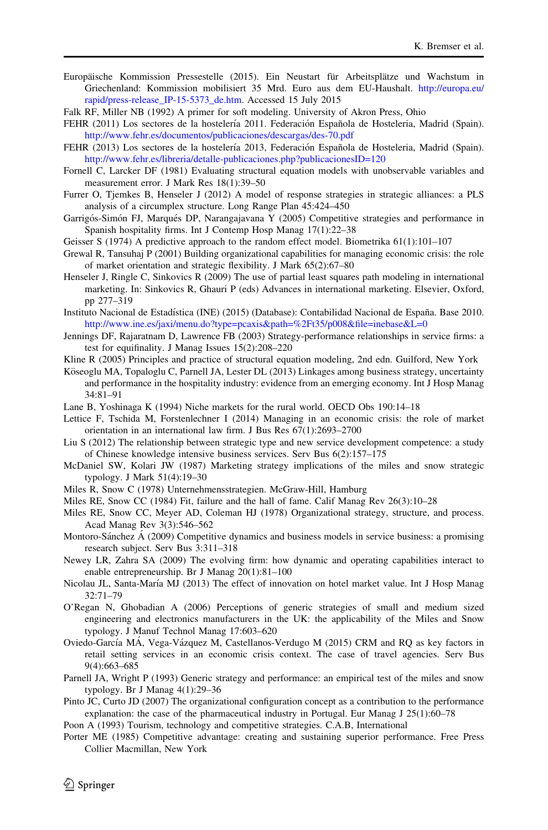- <span id="page-21-0"></span>Europäische Kommission Pressestelle (2015). Ein Neustart für Arbeitsplätze und Wachstum in Griechenland: Kommission mobilisiert 35 Mrd. Euro aus dem EU-Haushalt. [http://europa.eu/](http://europa.eu/rapid/press-release_IP-15-5373_de.htm) [rapid/press-release\\_IP-15-5373\\_de.htm.](http://europa.eu/rapid/press-release_IP-15-5373_de.htm) Accessed 15 July 2015
- Falk RF, Miller NB (1992) A primer for soft modeling. University of Akron Press, Ohio
- FEHR (2011) Los sectores de la hostelería 2011. Federación Española de Hosteleria, Madrid (Spain). <http://www.fehr.es/documentos/publicaciones/descargas/des-70.pdf>
- FEHR (2013) Los sectores de la hostelería 2013, Federación Española de Hosteleria, Madrid (Spain). [http://www.fehr.es/libreria/detalle-publicaciones.php?publicacionesID=120](http://www.fehr.es/libreria/detalle-publicaciones.php%3fpublicacionesID%3d120)
- Fornell C, Larcker DF (1981) Evaluating structural equation models with unobservable variables and measurement error. J Mark Res 18(1):39–50
- Furrer O, Tjemkes B, Henseler J (2012) A model of response strategies in strategic alliances: a PLS analysis of a circumplex structure. Long Range Plan 45:424–450
- Garrigós-Simón FJ, Marqués DP, Narangajavana Y (2005) Competitive strategies and performance in Spanish hospitality firms. Int J Contemp Hosp Manag 17(1):22–38
- Geisser S (1974) A predictive approach to the random effect model. Biometrika 61(1):101–107
- Grewal R, Tansuhaj P (2001) Building organizational capabilities for managing economic crisis: the role of market orientation and strategic flexibility. J Mark 65(2):67–80
- Henseler J, Ringle C, Sinkovics R (2009) The use of partial least squares path modeling in international marketing. In: Sinkovics R, Ghauri P (eds) Advances in international marketing. Elsevier, Oxford, pp 277–319
- Instituto Nacional de Estadística (INE) (2015) (Database): Contabilidad Nacional de España. Base 2010. [http://www.ine.es/jaxi/menu.do?type=pcaxis&path=%2Ft35/p008&file=inebase&L=0](http://www.ine.es/jaxi/menu.do%3ftype%3dpcaxis%26path%3d%252Ft35/p008%26file%3dinebase%26L%3d0)
- Jennings DF, Rajaratnam D, Lawrence FB (2003) Strategy-performance relationships in service firms: a test for equifinality. J Manag Issues 15(2):208–220
- Kline R (2005) Principles and practice of structural equation modeling, 2nd edn. Guilford, New York
- Köseoglu MA, Topaloglu C, Parnell JA, Lester DL (2013) Linkages among business strategy, uncertainty and performance in the hospitality industry: evidence from an emerging economy. Int J Hosp Manag 34:81–91
- Lane B, Yoshinaga K (1994) Niche markets for the rural world. OECD Obs 190:14–18
- Lettice F, Tschida M, Forstenlechner I (2014) Managing in an economic crisis: the role of market orientation in an international law firm. J Bus Res 67(1):2693–2700
- Liu S (2012) The relationship between strategic type and new service development competence: a study of Chinese knowledge intensive business services. Serv Bus 6(2):157–175
- McDaniel SW, Kolari JW (1987) Marketing strategy implications of the miles and snow strategic typology. J Mark 51(4):19–30
- Miles R, Snow C (1978) Unternehmensstrategien. McGraw-Hill, Hamburg
- Miles RE, Snow CC (1984) Fit, failure and the hall of fame. Calif Manag Rev 26(3):10–28
- Miles RE, Snow CC, Meyer AD, Coleman HJ (1978) Organizational strategy, structure, and process. Acad Manag Rev 3(3):546–562
- Montoro-Sánchez Á (2009) Competitive dynamics and business models in service business: a promising research subject. Serv Bus 3:311–318
- Newey LR, Zahra SA (2009) The evolving firm: how dynamic and operating capabilities interact to enable entrepreneurship. Br J Manag 20(1):81–100
- Nicolau JL, Santa-María MJ (2013) The effect of innovation on hotel market value. Int J Hosp Manag 32:71–79
- O'Regan N, Ghobadian A (2006) Perceptions of generic strategies of small and medium sized engineering and electronics manufacturers in the UK: the applicability of the Miles and Snow typology. J Manuf Technol Manag 17:603–620
- Oviedo-García MÁ, Vega-Vázquez M, Castellanos-Verdugo M (2015) CRM and RQ as key factors in retail setting services in an economic crisis context. The case of travel agencies. Serv Bus 9(4):663–685
- Parnell JA, Wright P (1993) Generic strategy and performance: an empirical test of the miles and snow typology. Br J Manag 4(1):29–36
- Pinto JC, Curto JD (2007) The organizational configuration concept as a contribution to the performance explanation: the case of the pharmaceutical industry in Portugal. Eur Manag J 25(1):60–78
- Poon A (1993) Tourism, technology and competitive strategies. C.A.B, International
- Porter ME (1985) Competitive advantage: creating and sustaining superior performance. Free Press Collier Macmillan, New York